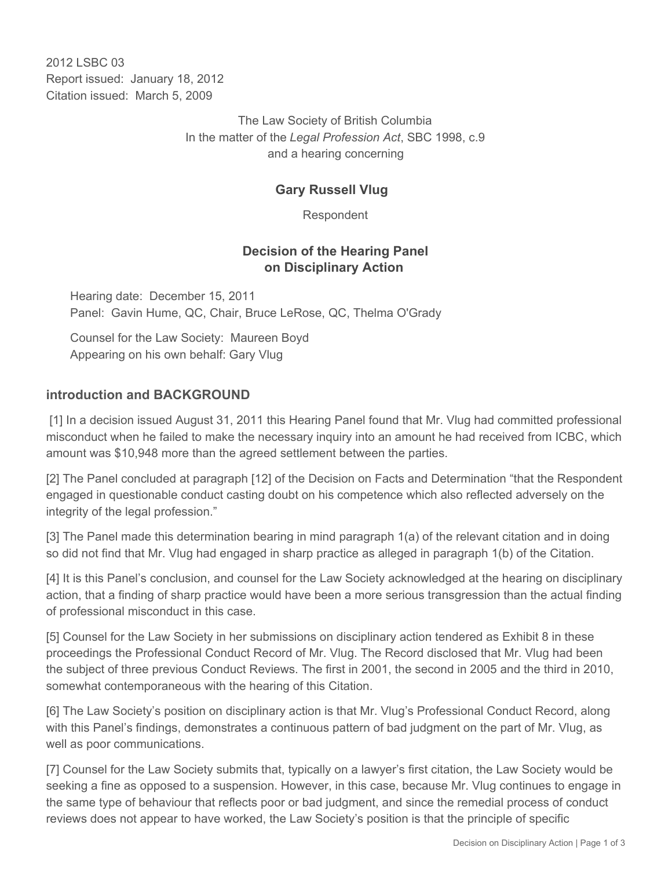2012 LSBC 03 Report issued: January 18, 2012 Citation issued: March 5, 2009

> The Law Society of British Columbia In the matter of the *Legal Profession Act*, SBC 1998, c.9 and a hearing concerning

### **Gary Russell Vlug**

Respondent

#### **Decision of the Hearing Panel on Disciplinary Action**

Hearing date: December 15, 2011 Panel: Gavin Hume, QC, Chair, Bruce LeRose, QC, Thelma O'Grady

Counsel for the Law Society: Maureen Boyd Appearing on his own behalf: Gary Vlug

#### **introduction and BACKGROUND**

 [1] In a decision issued August 31, 2011 this Hearing Panel found that Mr. Vlug had committed professional misconduct when he failed to make the necessary inquiry into an amount he had received from ICBC, which amount was \$10,948 more than the agreed settlement between the parties.

[2] The Panel concluded at paragraph [12] of the Decision on Facts and Determination "that the Respondent engaged in questionable conduct casting doubt on his competence which also reflected adversely on the integrity of the legal profession."

[3] The Panel made this determination bearing in mind paragraph 1(a) of the relevant citation and in doing so did not find that Mr. Vlug had engaged in sharp practice as alleged in paragraph 1(b) of the Citation.

[4] It is this Panel's conclusion, and counsel for the Law Society acknowledged at the hearing on disciplinary action, that a finding of sharp practice would have been a more serious transgression than the actual finding of professional misconduct in this case.

[5] Counsel for the Law Society in her submissions on disciplinary action tendered as Exhibit 8 in these proceedings the Professional Conduct Record of Mr. Vlug. The Record disclosed that Mr. Vlug had been the subject of three previous Conduct Reviews. The first in 2001, the second in 2005 and the third in 2010, somewhat contemporaneous with the hearing of this Citation.

[6] The Law Society's position on disciplinary action is that Mr. Vlug's Professional Conduct Record, along with this Panel's findings, demonstrates a continuous pattern of bad judgment on the part of Mr. Vlug, as well as poor communications.

[7] Counsel for the Law Society submits that, typically on a lawyer's first citation, the Law Society would be seeking a fine as opposed to a suspension. However, in this case, because Mr. Vlug continues to engage in the same type of behaviour that reflects poor or bad judgment, and since the remedial process of conduct reviews does not appear to have worked, the Law Society's position is that the principle of specific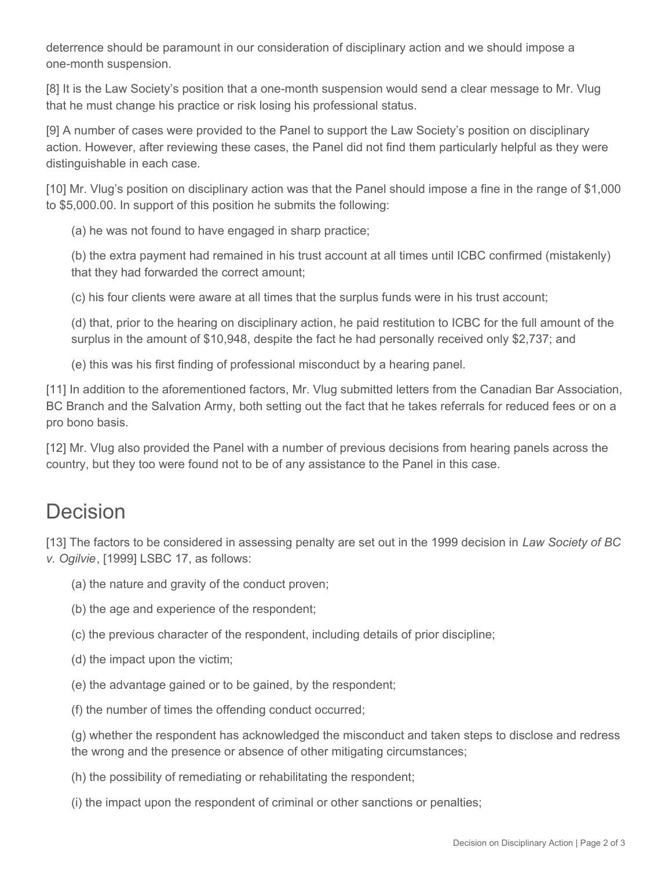deterrence should be paramount in our consideration of disciplinary action and we should impose a one-month suspension.

[8] It is the Law Society's position that a one-month suspension would send a clear message to Mr. Vlug that he must change his practice or risk losing his professional status.

[9] A number of cases were provided to the Panel to support the Law Society's position on disciplinary action. However, after reviewing these cases, the Panel did not find them particularly helpful as they were distinguishable in each case.

[10] Mr. Vlug's position on disciplinary action was that the Panel should impose a fine in the range of \$1,000 to \$5,000.00. In support of this position he submits the following:

(a) he was not found to have engaged in sharp practice;

(b) the extra payment had remained in his trust account at all times until ICBC confirmed (mistakenly) that they had forwarded the correct amount;

(c) his four clients were aware at all times that the surplus funds were in his trust account;

(d) that, prior to the hearing on disciplinary action, he paid restitution to ICBC for the full amount of the surplus in the amount of \$10,948, despite the fact he had personally received only \$2,737; and

(e) this was his first finding of professional misconduct by a hearing panel.

[11] In addition to the aforementioned factors, Mr. Vlug submitted letters from the Canadian Bar Association, BC Branch and the Salvation Army, both setting out the fact that he takes referrals for reduced fees or on a pro bono basis.

[12] Mr. Vlug also provided the Panel with a number of previous decisions from hearing panels across the country, but they too were found not to be of any assistance to the Panel in this case.

# Decision

[13] The factors to be considered in assessing penalty are set out in the 1999 decision in *Law Society of BC v. Ogilvie*, [1999] LSBC 17, as follows:

- (a) the nature and gravity of the conduct proven;
- (b) the age and experience of the respondent;
- (c) the previous character of the respondent, including details of prior discipline;
- (d) the impact upon the victim;
- (e) the advantage gained or to be gained, by the respondent;
- (f) the number of times the offending conduct occurred;

(g) whether the respondent has acknowledged the misconduct and taken steps to disclose and redress the wrong and the presence or absence of other mitigating circumstances;

- (h) the possibility of remediating or rehabilitating the respondent;
- (i) the impact upon the respondent of criminal or other sanctions or penalties;